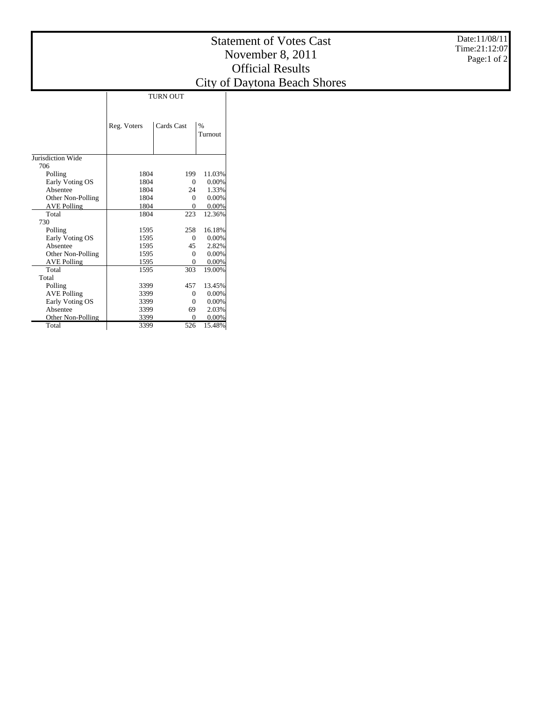## Statement of Votes Cast November 8, 2011 Official Results City of Daytona Beach Shores

|                    | Reg. Voters | Cards Cast     | $\%$     |
|--------------------|-------------|----------------|----------|
|                    |             |                | Turnout  |
|                    |             |                |          |
|                    |             |                |          |
| Jurisdiction Wide  |             |                |          |
| 706                |             |                |          |
| Polling            | 1804        | 199            | 11.03%   |
| Early Voting OS    | 1804        | $\theta$       | $0.00\%$ |
| Absentee           | 1804        | 24             | 1.33%    |
| Other Non-Polling  | 1804        | $\theta$       | 0.00%    |
| <b>AVE Polling</b> | 1804        | $\theta$       | $0.00\%$ |
| Total              | 1804        | 223            | 12.36%   |
| 730                |             |                |          |
| Polling            | 1595        | 258            | 16.18%   |
| Early Voting OS    | 1595        | $\theta$       | $0.00\%$ |
| Absentee           | 1595        | 45             | 2.82%    |
| Other Non-Polling  | 1595        | $\Omega$       | $0.00\%$ |
| <b>AVE Polling</b> | 1595        | $\overline{0}$ | $0.00\%$ |
| Total              | 1595        | 303            | 19.00%   |
| Total              |             |                |          |
| Polling            | 3399        | 457            | 13.45%   |
| <b>AVE Polling</b> | 3399        | $\theta$       | $0.00\%$ |
| Early Voting OS    | 3399        | $\Omega$       | $0.00\%$ |
| Absentee           | 3399        | 69             | 2.03%    |
| Other Non-Polling  | 3399        | $\Omega$       | $0.00\%$ |
| Total              | 3399        | 526            | 15.48%   |

Date:11/08/11 Time:21:12:07 Page:1 of 2